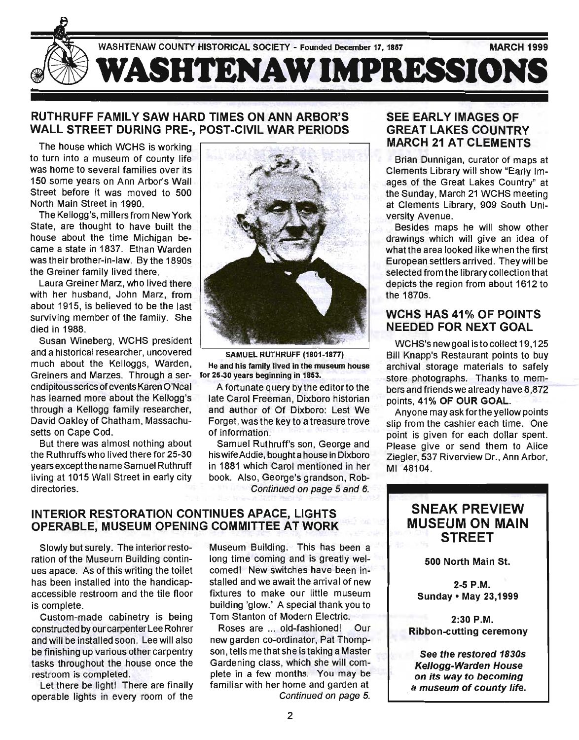

## RUTHRUFF FAMILY SAW HARD TIMES ON ANN ARBOR'S WALL STREET DURING PRE-, POST-CIVIL WAR PERIODS

The house which WCHS is working to turn into a museum of county life was home to several families over its 150 some years on Ann Arbor's Wall Street before it was moved to 500 North Main Street in 1990.

The Kellogg's, millers from New York State, are thought to have built the house about the time Michigan became a state in 1837. Ethan Warden was their brother-in-law. By the 1890s the Greiner family lived there.

Laura Greiner Marz, who lived there with her husband, John Marz, from about 1915, is believed to be the last surviving member of the family. She died in 1988.

Susan Wineberg, WCHS president and a historical researcher, uncovered much about the Kelloggs, Warden, Greiners and Marzes. Through a serendipitous series of events Karen O'Neal has learned more about the Kellogg's through a Kellogg family researcher, David Oakley of Chatham, Massachusetts on Cape Cod.

But there was almost nothing about the Ruthruffs who lived there for 25-30 years except the name Samuel Ruthruff living at 1015 Wall Street in early city directories.



SAMUEL RUTHRUFF (1801-1877) He and his family lived in the museum house for 25-30 years beginning in 1853.

A fortunate query by the editorto the late Carol Freeman, Dixboro historian and author of Of Dixboro: Lest We Forget, was the key to a treasure trove of information.

Samuel Ruthruff's son, George and his wife Addie, bought a house in Dixboro in 1881 which Carol mentioned in her book. Also, George's grandson, Rob-Continued on page 5 and 6.

INTERIOR RESTORATION CONTINUES APACE, LIGHTS OPERABLE, MUSEUM OPENING COMMITTEE AT WORK

Slowly but surely. The interior restoration of the Museum Building continues apace. As of this writing the toilet has been installed into the handicapaccessible restroom and the tile floor is complete.

Custom-made cabinetry is being constructed by our carpenter Lee Rohrer and will be installed soon. Lee will also be finishing up various other carpentry tasks throughout the house once the restroom is completed.

Let there be light! There are finally operable lights in every room of the Museum Building. This has been a long time coming and is greatly welcorned! New switches have been installed and we await the arrival of new fixtures to make our little museum building 'glow.' A special thank you to Tom Stanton of Modern Electric.

Roses are ... old-fashioned! Our new garden co-ordinator, Pat Thompson, tells me that she is taking a Master Gardening class, which she will complete in a few months. You may be familiar with her home and garden at Continued on page 5.

## SEE EARLY IMAGES OF GREAT LAKES COUNTRY MARCH 21 AT CLEMENTS

Brian Dunnigan, curator of maps at Clements Library will show "Early Images of the Great Lakes Country" at the Sunday, March 21 WCHS meeting at Clements Library, 909 South University Avenue.

Besides maps he will show other drawings which will give an idea of what the area looked like when the first European settlers arrived. They will be selected from the library collection that depicts the region from about 1612 to the 1870s.

### WCHS HAS 41% OF POINTS NEEDED FOR NEXT GOAL

WCHS's new goal istocollect 19,125 Bill Knapp's Restaurant points to buy archival storage materials to safely store photographs. Thanks to members and friends we already have 8,872 points, 41% OF OUR GOAL.

Anyone may ask for the yellow points slip from the cashier each time. One point is given for each dollar spent. Please give or send them to Alice Ziegler, 537 Riverview Dr., Ann Arbor, MI 48104.

# **SNEAK PREVIEW** MUSEUM ON MAIN **STREET**

500 North Main St.

2-5 P.M. Sunday· May 23,1999

2:30 P.M. Ribbon-cutting ceremony

See the restored 1830s Kellogg-Warden House on its way to becoming a museum of county life.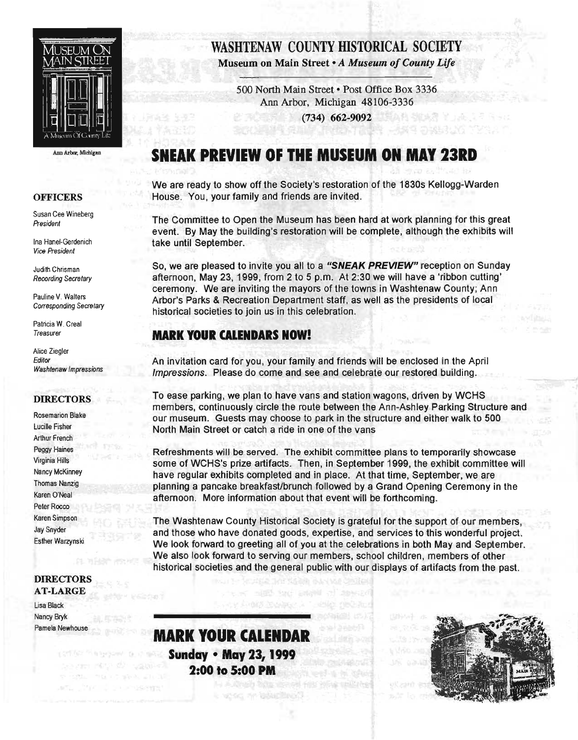

Ann Arbor, Michigan

#### **OFFICERS**

Susan Cee Wineberg President

Ina Hanel-Gerdenich Vice President

Judith Chrisman Recording Secretary

Pauline V. Walters Corresponding Secretary

Patricia W. Creal Treasurer

Alice Ziegler Editor Washtenaw Impressions

### DIRECTORS

Rosemarion Blake Lucille Fisher Arthur French Peggy Haines Virginia Hills Nancy McKinney Thomas Nanzig Karen O'Neal Peter Rocco Karen Simpson Jay Snyder Esther Warzynski

#### DIRECTORS AT-LARGE

Lisa Black Nancy Bryk Pamela Newhouse

# WASHTENAW COUNTY HISTORICAL SOCIETY

Museum on Main Street • *A Museum of County Life* 

500 North Main Street • Post Office Box 3336 Ann Arbor, Michigan 48106-3336 葉女花 地球界 半山花

(734) 662-9092

# **SNEAK PREVIEW OF THE MUSEUM ON MAY 23RD**

We are ready to show off the Society's restoration of the 1830s Kellogg-Warden House. You, your family and friends are invited.

The Committee to Open the Museum has been hard at work planning for this great event. By May the building's restoration will be complete, although the exhibits will take until September.

So, we are pleased to invite you all to a "SNEAK PREVIEW" reception on Sunday afternoon, May 23, 1999, from 2 to 5 p.m. At 2:30 we will have a 'ribbon cutting' ceremony. We are inviting the mayors of the towns in Washtenaw County; Ann Arbor's Parks & Recreation Department staff, as well as the presidents of local historical societies to join us in this celebration.

# **MARK YOUR CALENDARS NOW!**

An invitation card for you, your family and friends will be enclosed in the April Impressions. Please do come and see and celebrate our restored building.

To ease parking, we plan to have vans and station wagons, driven by WCHS members, continuously circle the route between the Ann-Ashley Parking Structure and our museum. Guests may choose to park in the structure and either walk to 500 North Main Street or catch a ride in one of the vans

Refreshments will be served. The exhibit committee plans to temporarily showcase some of WCHS's prize artifacts. Then, in September 1999, the exhibit committee will have regular exhibits completed and in place. At that time, September, we are planning a pancake breakfasUbrunch followed by a Grand Opening Ceremony in the afternoon. More information about that event will be forthcoming.

The Washtenaw County Historical Society is grateful for the support of our members, and those who have donated goods, expertise, and services to this wonderful project. We look forward to greeting all of you at the celebrations in both May and September. We also look forward to serving our members, school children, members of other historical societies and the general public with our displays of artifacts from the past.

**MARK YOUR CALENDAR Sunday • May 23, 1999 2:00 to 5:00 PM** 

**CONTRACT THE MONEY PLACE** 

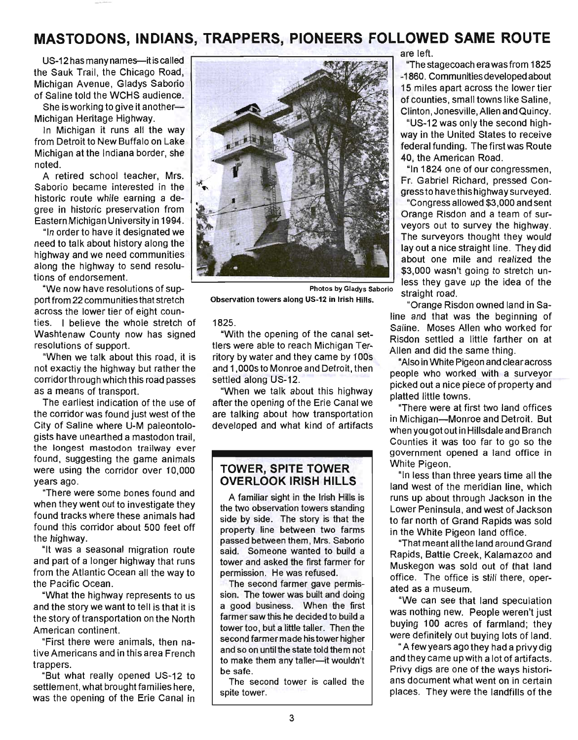# **MASTODONS, INDIANS, TRAPPERS, PIONEERS FOLLOWED SAME ROUTE**

US-12 has many names-it is called the Sauk Trail, the Chicago Road, Michigan Avenue, Gladys Saborio of Saline told the WCHS audience.

She is working to give it another-Michigan Heritage Highway.

In Michigan it runs all the way from Detroit to New Buffalo on Lake Michigan at the Indiana border, she noted.

A retired school teacher, Mrs. Saborio became interested in the historic route while earning a degree in historic preservation from Eastern Michigan University in 1994.

"In order to have it designated we need to talk about history along the highway and we need communities along the highway to send resolutions of endorsement.

"We now have resolutions of support from 22 communities that stretch across the lower tier of eight counties. I believe the whole stretch of Washtenaw County now has signed resolutions of support.

"When we talk about this road, it is not exactly the highway but rather the corridorthrough which this road passes as a means of transport.

The earliest indication of the use of the corridor was found just west of the City of Saline where U-M paleontologists have unearthed a mastodon trail, the longest mastodon trailway ever found, suggesting the game animals were using the corridor over 10,000 years ago.

"There were some bones found and when they went out to investigate they found tracks where these animals had found this corridor about 500 feet off the highway.

"It was a seasonal migration route and part of a longer highway that runs from the Atlantic Ocean all the way to the Pacific Ocean.

"What the highway represents to us and the story we want to tell is that it is the story of transportation on the North American continent.

"First there were animals, then native Americans and in this area French trappers.

"But what really opened US-12 to settlement, what brought families here, was the opening of the Erie Canal in



Photos by Gladys Saborio straight road.

1825.

"With the opening of the canal settlers were able to reach Michigan Territory by water and they came by 100s and 1,OOOs to Monroe and Detroit, then settled along US-12.

"When we talk about this highway after the opening of the Erie Canal we are talking about how transportation developed and what kind of artifacts

### **TOWER, SPITE TOWER OVERLOOK IRISH HILLS**

A familiar sight in the Irish Hills is the two observation towers standing side by side. The story is that the property line between two farms passed between them, Mrs. Saborio said. Someone wanted to build a tower and asked the first farmer for permission. He was refused.

The second farmer gave permission. The tower was built and doing a good business. When the first farmer saw this he decided to build a tower too, but a little taller. Then the second farmer made his tower higher and so on until the state told them not to make them any taller-it wouldn't be safe.

The second tower is called the spite tower.

are left.

"The stagecoach era was from 1825 -1860. Communities developed about 15 miles apart across the lower tier of counties, small towns like Saline, Clinton, Jonesville, Allen and Quincy.

"US-12 was only the second highway in the United States to receive federal funding. The first was Route 40, the American Road.

"In 1824 one of our congressmen, Fr. Gabriel Richard, pressed Congressto have this highway surveyed.

"Congress allowed \$3,000 and sent Orange Risdon and a team of surveyors out to survey the highway. The surveyors thought they would layout a nice straight line. They did about one mile and realized the \$3,000 wasn't going to stretch unless they gave up the idea of the

Observation towers along US-12 in Irish Hills. "Orange Risdon owned land in Saline and that was the beginning of Saline. Moses Allen who worked for Risdon settled a little farther on at Allen and did the same thing.

> "Also in White Pigeon and clearacross people who worked with a surveyor picked out a nice piece of property and platted little towns.

> "There were at first two land offices in Michigan-Monroe and Detroit. But when you got out in Hillsdale and Branch Counties it was too far to go so the government opened a land office in White Pigeon.

> "In less than three years time all the land west of the meridian line, which runs up about through Jackson in the Lower Peninsula, and west of Jackson to far north of Grand Rapids was sold in the White Pigeon land office.

> "That meant all the land around Grand Rapids, Battle Creek, Kalamazoo and Muskegon was sold out of that land office. The office is still there, operated as a museum.

> "We can see that land speculation was nothing new. People weren't just buying 100 acres of farmland; they were definitely out buying lots of land.

> " A few years ago they had a privy dig and they came up with a lot of artifacts. Privy digs are one of the ways historians document what went on in certain places. They were the landfills of the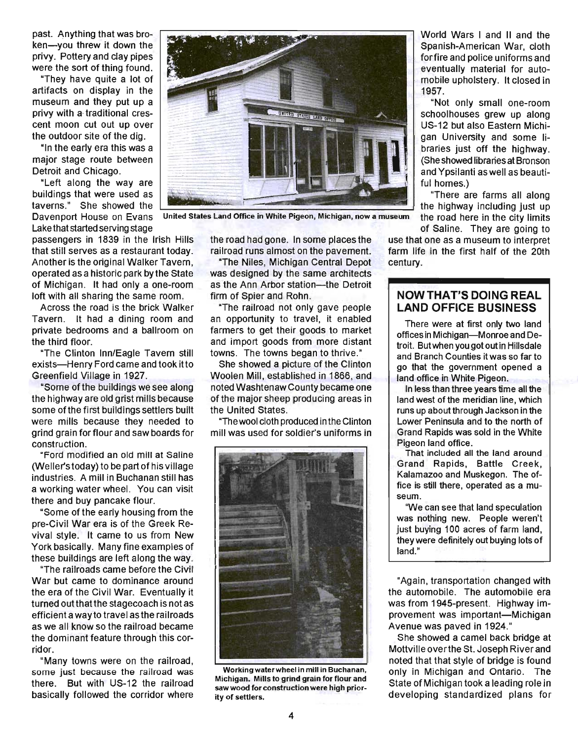past. Anything that was broken-you threw it down the privy. Pottery and clay pipes were the sort of thing found.

"They have quite a lot of artifacts on display in the museum and they put up a privy with a traditional crescent moon cut out up over the outdoor site of the dig.

"In the early era this was a major stage route between Detroit and Chicago.

"Left along the way are buildings that were used as taverns." She showed the Davenport House on Evans United States Land Office in White Pigeon, Michigan, now a museum

passengers in 1839 in the Irish Hills that still serves as a restaurant today. Another is the original Walker Tavern, operated as a historic park by the State of Michigan. It had only a one-room loft with all sharing the same room.

Across the road is the brick Walker Tavern. It had a dining room and private bedrooms and a ballroom on the third floor.

"The Clinton Inn/Eagle Tavern still exists-Henry Ford came and took it to Greenfield Village in 1927.

"Some ofthe buildings we see along the highway are old grist mills because some of the first buildings settlers built were mills because they needed to grind grain for flour and saw boards for construction.

"Ford modified an old mill at Saline (Weller's today) to be part of his village industries. A mill in Buchanan still has a working water wheel. You can visit there and buy pancake flour.

"Some of the early housing from the pre-Civil War era is of the Greek Revival style. It came to us from New York basically. Many fine examples of these buildings are left along the way.

"The railroads came before the Civil War but came to dominance around the era of the Civil War. Eventually it turned out that the stagecoach is not as efficient a way to travel as the railroads as we all know so the railroad became the dominant feature through this corridor.

"Many towns were on the railroad, some just because the railroad was there. But with US-12 the railroad basically followed the corridor where

the road had gone. In some places the railroad runs almost on the pavement.

The Library of Parks

"The Niles, Michigan Central Depot was designed by the same architects as the Ann Arbor station- the Detroit firm of Spier and Rohn.

"The railroad not only gave people an opportunity to travel, it enabled farmers to get their goods to market and import goods from more distant towns. The towns began to thrive."

She showed a picture of the Clinton Woolen Mill, established in 1866, and noted Washtenaw County became one of the major sheep producing areas in the United States.

"Thewool cloth produced inthe Clinton mill was used for soldier's uniforms in



Working waterwheel in mill in Buchanan, Michigan. Mills to grind grain for flour and saw wood for construction were high priority of settlers.

World Wars I and II and the Spanish-American War, cloth forfire and police uniforms and eventually material for automobile upholstery. It closed in 1957.

"Not only small one-room schoolhouses grew up along US-12 but also Eastern Michigan University and some libraries just off the highway. (She showed libraries at Bronson and Ypsilanti as well as beautiful homes.)

"There are farms all along the highway including just up the road here in the city limits Lake that started serving stage of Saline. They are going to started serving stage of Saline. They are going to

> use that one as a museum to interpret farm life in the first half of the 20th century.

### **NOW THAT'S DOING REAL LAND OFFICE BUSINESS**

There were at first only two land offices in Michigan-Monroe and Detroit. Butwhen you got out in Hillsdale and Branch Counties it was so far to go that the government opened a land office in White Pigeon.

In less than three years time all the land west of the meridian line, which runs up about through Jackson in the Lower Peninsula and to the north of Grand Rapids was sold in the White Pigeon land office.

That included all the land around Grand Rapids, Battle Creek, Kalamazoo and Muskegon. The office is still there, operated as a museum.

"We can see that land speculation was nothing new. People weren't just buying 100 acres of farm land, they were definitely out buying lots of land."

"Again, transportation changed with the automobile. The automobile era was from 1945-present. Highway improvement was important-Michigan Avenue was paved in 1924."

She showed a camel back bridge at Mottville overthe st. Joseph River and noted that that style of bridge is found only in Michigan and Ontario. The State of Michigan took a leading role in developing standardized plans for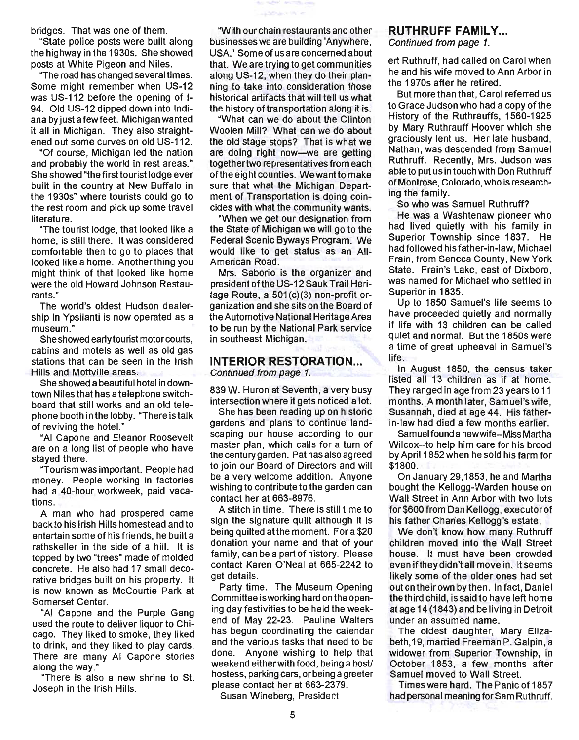bridges. That was one of them.

"State police posts were built along the highway in the 1930s. She showed posts at White Pigeon and Niles.

"The road has changed several times. Some might remember when US-12 was US-112 before the opening of 1- 94. Old US-12 dipped down into Indiana by just a few feet. Michigan wanted it all in Michigan. They also straightened out some curves on old US-112.

"Of course, Michigan led the nation and probably the world in rest areas.' She showed "the first tourist lodge ever built in the country at New Buffalo in the 1930s" where tourists could go to the rest room and pick up some travel literature.

"The tourist lodge, that looked like a home, is still there. It was considered comfortable then to go to places that looked like a home. Anotherthing you might think of that looked like home were the old Howard Johnson Restaurants."

The world's oldest Hudson dealership in Ypsilanti is now operated as a museum."

She showed early tourist motor courts, cabins and motels as well as old gas stations that can be seen in the Irish Hills and Mottville areas.

She showed a beautiful hotel in downtown Niles that has a telephone switchboard that still works and an old telephone booth in the lobby. "There is talk of reviving the hotel."

"AI Capone and Eleanor Roosevelt are on a long list of people who have stayed there.

"Tourism was important. People had money. People working in factories had a 40-hour workweek, paid vacations.

A man who had prospered came back to his I rish Hills homestead and to entertain some of his friends, he built a rathskeller in the side of a hill. It is topped by two "trees" made of molded concrete. He also had 17 small decorative bridges built on his property. It is now known as McCourtie Park at Somerset Center.

"AI Capone and the Purple Gang used the route to deliver liquor to Chicago. They liked to smoke, they liked to drink, and they liked to play cards. There are many AI Capone stories along the way."

"There is also a new shrine to St. Joseph in the Irish Hills.

"With our chain restaurants and other businesses we are building 'Anywhere, USA.' Some of us are concerned about that. We are trying to get communities along US-12, when they do their planning to take into consideration those historical artifacts that will tell us what the history of transportation along it is.

"What can we do about the Clinton Woolen Mill? What can we do about the old stage stops? That is what we are doing right now-we are getting togethertwo representatives from each ofthe eight counties. We want to make sure that what the Michigan Department of Transportation is doing coincides with what the community wants.

"When we get our deSignation from the State of Michigan we will go to the Federal Scenic Byways Program. We would like to get status as an AII-American Road.

Mrs. Saborio is the organizer and president ofthe US-12 Sauk Trail Heritage Route, a 501(c)(3) non-profit organization and she sits on the Board of the Automotive National Heritage Area to be run by the National Park service in southeast Michigan.

#### **INTERIOR RESTORATION...** Continued from page 1.

839 W. Huron at Seventh, a very busy intersection where it gets noticed a lot.

She has been reading up on historic gardens and plans to continue landscaping our house according to our master plan, which calls for a tum of the century garden. Pat has also agreed to join our Board of Directors and will be a very welcome addition. Anyone wishing to contribute to the garden can contact her at 663-8976.

A stitch in time. There is still time to sign the signature quilt although it is being quilted at the moment. For a \$20 donation your name and that of your family, can be a part of history. Please contact Karen O'Neal at 665-2242 to get details.

Party time. The Museum Opening Committee isworking hard on the opening day festivities to be held the weekend of May 22-23. Pauline Walters has begun coordinating the calendar and the various tasks that need to be done. Anyone wishing to help that weekend either with food, being a host/ hostess, parking cars, orbeing a greeter please contact her at 663-2379.

Susan Wineberg, President

### **RUTHRUFF FAMILY...**

Continued from page 1.

ert Ruthruff, had called on Carol when he and his wife moved to Ann Arbor in the 1970s after he retired.

But more than that, Carol referred us to Grace Judson who had a copy of the History of the Ruthrauffs, 1560-1925 by Mary Ruthrauff Hoover which she graciously lent us. Her late husband, Nathan, was descended from Samuel Ruthruff. Recently, Mrs. Judson was able to put us in touch with Don Ruthruff of Montrose, Colorado, who is researching the family.

So who was Samuel Ruthruff?

He was a Washtenaw pioneer who had lived quietly with his family in Superior Township since 1837. He had followed his father-in-law, Michael Frain, from Seneca County, New York State. Frain's Lake, east of Dixboro, was named for Michael who settled in Superior in 1835.

Up to 1850 Samuel's life seems to have proceeded quietly and normally if life with 13 children can be Called quiet and normal. But the 1850s were a time of great upheaval in Samuel's life.

In August 1850, the census taker listed all 13 children as if at home. They ranged in age from 23 years to 11 months. A month later, Samuel's wife, Susannah, died at age 44. His fatherin-law had died a few months earlier.

Samuel found a new wife-Miss Martha Wilcox--to help him care for his brood by April 1852 when he sold his farm for \$1800.

On January 29,1853, he and Martha bought the Kellogg-Warden house on Wall Street in Ann Arbor with two lots for\$600 from Dan Kellogg, executor of his father Charles Kellogg's estate.

We don't know how many Ruthruff children moved into the Wall Street house. It must have been crowded even if they didn't all move in. It seems likely some of the older ones had set out on their own by then. In fact, Daniel the third child, is said to have left home at age 14 (1843) and be living in Detroit under an assumed name.

The oldest daughter, Mary Elizabeth, 19, married Freeman P. Galpin, a widower from Superior Township, in October 1853. a few months after Samuel moved to Wall Street.

Times were hard. The Panic of 1857 had personal meaning for Sam Ruthruff.